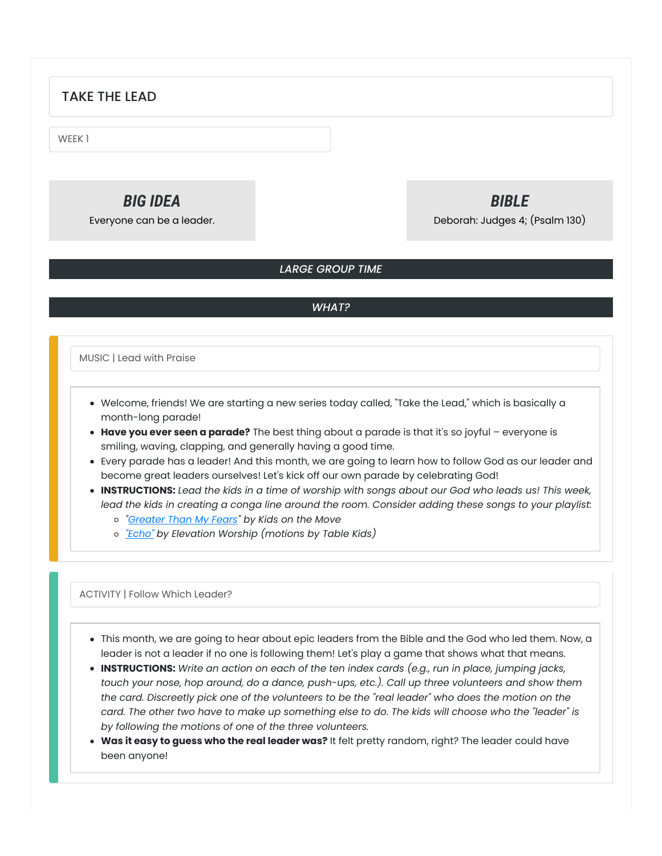## TAKE THE LEAD

WEEK 1

# *BIG IDEA*

Everyone can be a leader.

## *BIBLE*

Deborah: Judges 4; (Psalm 130)

## *LARGE GROUP TIME*

## *WHAT?*

MUSIC | Lead with Praise

- Welcome, friends! We are starting a new series today called, "Take the Lead," which is basically a month-long parade!
- **Have you ever seen a parade?** The best thing about a parade is that it's so joyful everyone is smiling, waving, clapping, and generally having a good time.
- Every parade has a leader! And this month, we are going to learn how to follow God as our leader and become great leaders ourselves! Let's kick off our own parade by celebrating God!
- INSTRUCTIONS: Lead the kids in a time of worship with songs about our God who leads us! This week, lead the kids in creating a conga line around the room. Consider adding these songs to your playlist:
	- *["Greater](https://youtu.be/Eslnnc3ONFM) Than My Fears" by Kids on the Move*
	- *["Echo"](https://www.youtube.com/watch?v=DKkBQa2C90A) by Elevation Worship (motions by Table Kids)*

ACTIVITY | Follow Which Leader?

- This month, we are going to hear about epic leaders from the Bible and the God who led them. Now, a leader is not a leader if no one is following them! Let's play a game that shows what that means.
- **INSTRUCTIONS:** *Write an action on each of the ten index cards (e.g., run in place, jumping jacks, touch your nose, hop around, do a dance, push-ups, etc.). Call up three volunteers and show them* the card. Discreetly pick one of the volunteers to be the "real leader" who does the motion on the card. The other two have to make up something else to do. The kids will choose who the "leader" is *by following the motions of one of the three volunteers.*
- **Was it easy to guess who the real leader was?** It felt pretty random, right? The leader could have been anyone!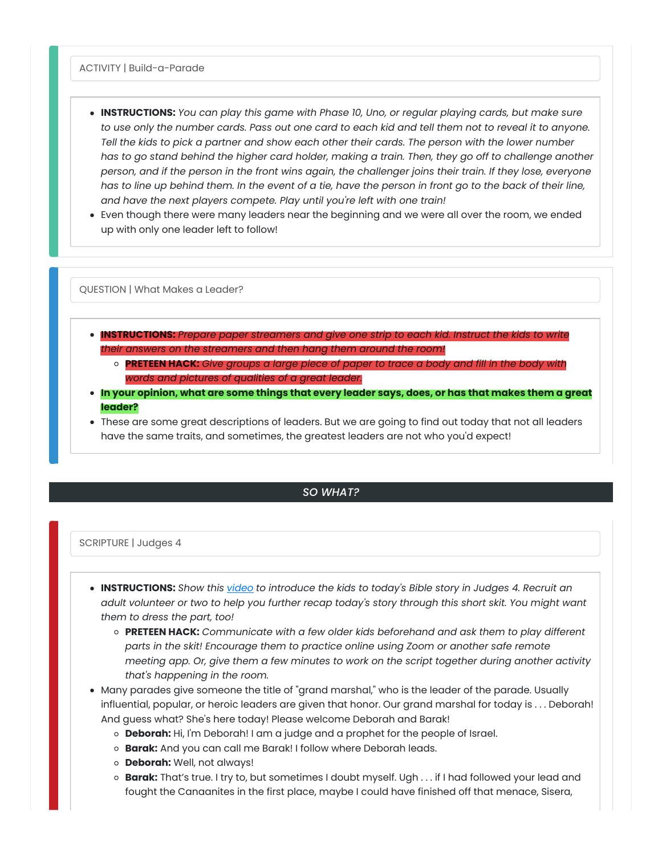ACTIVITY | Build-a-Parade

- **INSTRUCTIONS:** *You can play this game with Phase 10, Uno, or regular playing cards, but make sure* to use only the number cards. Pass out one card to each kid and tell them not to reveal it to anyone. Tell the kids to pick a partner and show each other their cards. The person with the lower number has to go stand behind the higher card holder, making a train. Then, they go off to challenge another person, and if the person in the front wins again, the challenger joins their train. If they lose, everyone has to line up behind them. In the event of a tie, have the person in front go to the back of their line, *and have the next players compete. Play until you're left with one train!*
- Even though there were many leaders near the beginning and we were all over the room, we ended up with only one leader left to follow!

QUESTION | What Makes a Leader?

- **INSTRUCTIONS:** *Prepare paper streamers and give one strip to each kid. Instruct the kids to write their answers on the streamers and then hang them around the room!*
	- **PRETEEN HACK:** *Give groups a large piece of paper to trace a body and fill in the body with words and pictures of qualities of a great leader.*
- . In your opinion, what are some things that every leader says, does, or has that makes them a great **leader?**
- These are some great descriptions of leaders. But we are going to find out today that not all leaders have the same traits, and sometimes, the greatest leaders are not who you'd expect!

## *SO WHAT?*

#### SCRIPTURE | Judges 4

- **INSTRUCTIONS:** *Show this [video](https://youtu.be/GakKDNn2_YE) to introduce the kids to today's Bible story in Judges 4. Recruit an* adult volunteer or two to help you further recap today's story through this short skit. You might want *them to dress the part, too!*
	- **PRETEEN HACK:** *Communicate with a few older kids beforehand and ask them to play different parts in the skit! Encourage them to practice online using Zoom or another safe remote meeting app. Or, give them a few minutes to work on the script together during another activity that's happening in the room.*
- Many parades give someone the title of "grand marshal," who is the leader of the parade. Usually influential, popular, or heroic leaders are given that honor. Our grand marshal for today is . . . Deborah! And guess what? She's here today! Please welcome Deborah and Barak!
	- **Deborah:** Hi, I'm Deborah! I am a judge and a prophet for the people of Israel.
	- **Barak:** And you can call me Barak! I follow where Deborah leads.
	- **Deborah:** Well, not always!
	- **Barak:** That's true. I try to, but sometimes I doubt myself. Ugh . . . if I had followed your lead and fought the Canaanites in the first place, maybe I could have finished off that menace, Sisera,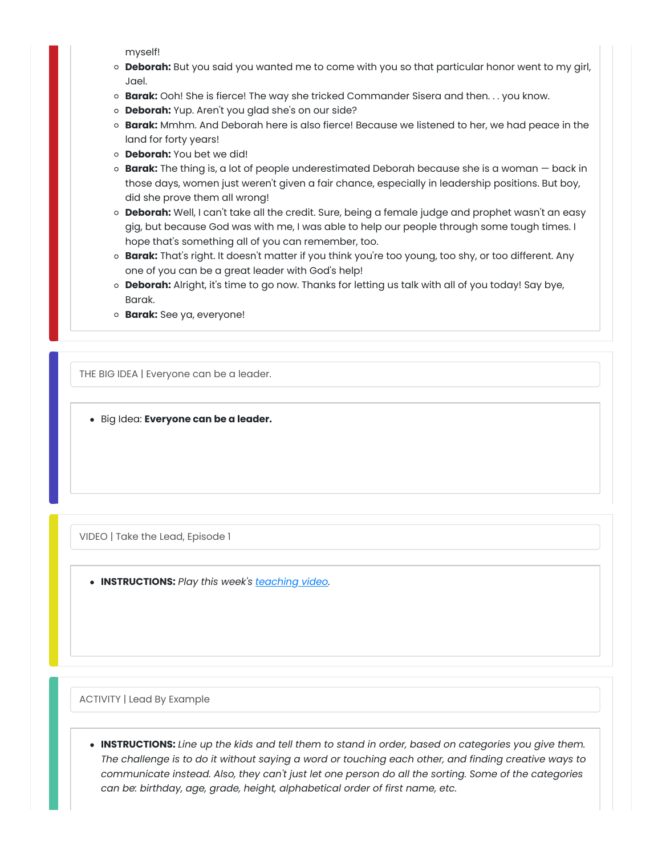myself!

- **Deborah:** But you said you wanted me to come with you so that particular honor went to my girl, Jael.
- **Barak:** Ooh! She is fierce! The way she tricked Commander Sisera and then. . . you know.
- **Deborah:** Yup. Aren't you glad she's on our side?
- **Barak:** Mmhm. And Deborah here is also fierce! Because we listened to her, we had peace in the land for forty years!
- **Deborah:** You bet we did!
- **Barak:** The thing is, a lot of people underestimated Deborah because she is a woman back in those days, women just weren't given a fair chance, especially in leadership positions. But boy, did she prove them all wrong!
- **Deborah:** Well, I can't take all the credit. Sure, being a female judge and prophet wasn't an easy gig, but because God was with me, I was able to help our people through some tough times. I hope that's something all of you can remember, too.
- **Barak:** That's right. It doesn't matter if you think you're too young, too shy, or too different. Any one of you can be a great leader with God's help!
- **Deborah:** Alright, it's time to go now. Thanks for letting us talk with all of you today! Say bye, Barak.
- **Barak:** See ya, everyone!

THE BIG IDEA | Everyone can be a leader.

Big Idea: **Everyone can be a leader.**

VIDEO | Take the Lead, Episode 1

**INSTRUCTIONS:** *Play this week's [teaching](https://growcurriculum.org/ElementaryTeachingVideosV4) video.*

ACTIVITY | Lead By Example

**INSTRUCTIONS:** *Line up the kids and tell them to stand in order, based on categories you give them.* The challenge is to do it without saying a word or touching each other, and finding creative ways to *communicate instead. Also, they can't just let one person do all the sorting. Some of the categories can be: birthday, age, grade, height, alphabetical order of first name, etc.*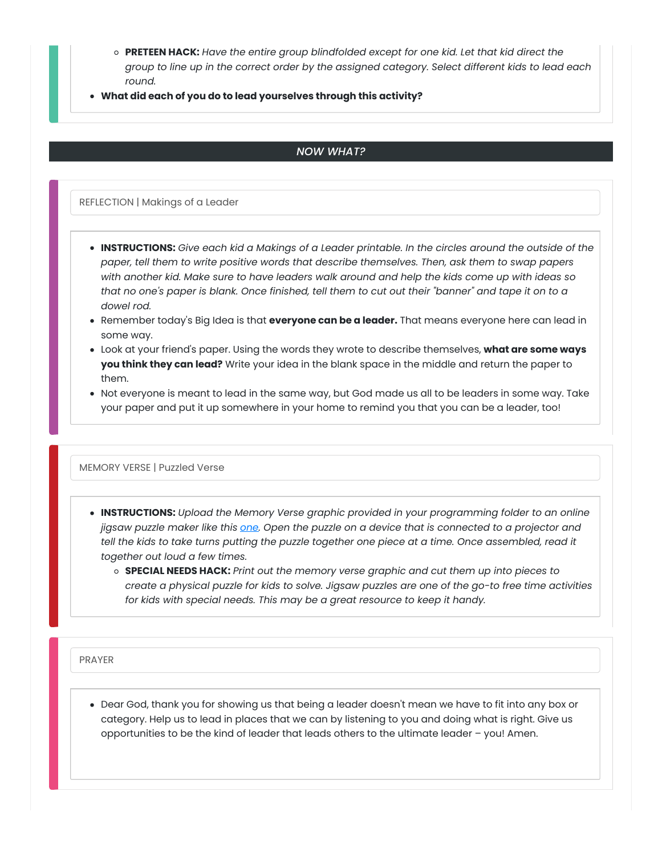- **PRETEEN HACK:** *Have the entire group blindfolded except for one kid. Let that kid direct the group to line up in the correct order by the assigned category. Select different kids to lead each round.*
- **What did each of you do to lead yourselves through this activity?**

### *NOW WHAT?*

REFLECTION | Makings of a Leader

- . INSTRUCTIONS: Give each kid a Makings of a Leader printable. In the circles around the outside of the *paper, tell them to write positive words that describe themselves. Then, ask them to swap papers* with another kid. Make sure to have leaders walk around and help the kids come up with ideas so that no one's paper is blank. Once finished, tell them to cut out their "banner" and tape it on to a *dowel rod.*
- Remember today's Big Idea is that **everyone can be a leader.** That means everyone here can lead in some way.
- Look at your friend's paper. Using the words they wrote to describe themselves, **what are some ways you think they can lead?** Write your idea in the blank space in the middle and return the paper to them.
- Not everyone is meant to lead in the same way, but God made us all to be leaders in some way. Take your paper and put it up somewhere in your home to remind you that you can be a leader, too!

#### MEMORY VERSE | Puzzled Verse

- **INSTRUCTIONS:** *Upload the Memory Verse graphic provided in your programming folder to an online* jigsaw puzzle maker like this [one.](https://www.jigsawplanet.com/) Open the puzzle on a device that is connected to a projector and tell the kids to take turns putting the puzzle together one piece at a time. Once assembled, read it *together out loud a few times.*
	- **SPECIAL NEEDS HACK:** *Print out the memory verse graphic and cut them up into pieces to* create a physical puzzle for kids to solve. Jigsaw puzzles are one of the go-to free time activities *for kids with special needs. This may be a great resource to keep it handy.*

PRAYER

Dear God, thank you for showing us that being a leader doesn't mean we have to fit into any box or category. Help us to lead in places that we can by listening to you and doing what is right. Give us opportunities to be the kind of leader that leads others to the ultimate leader – you! Amen.